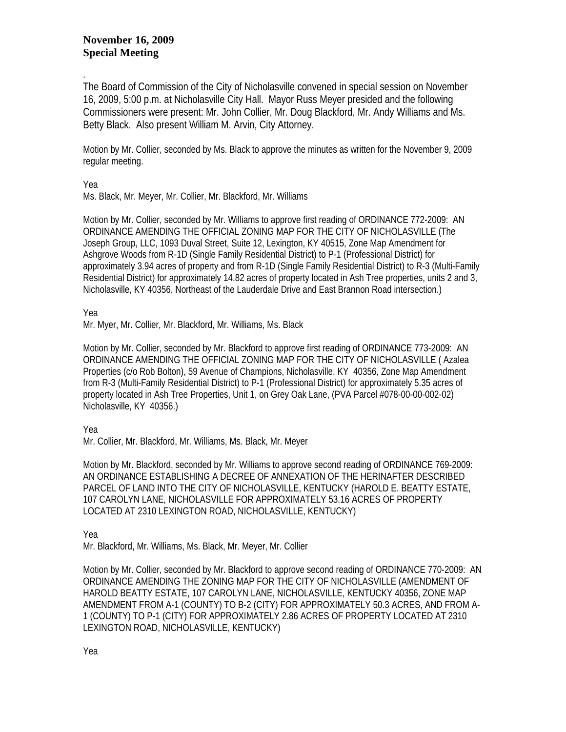## **November 16, 2009 Special Meeting**

. The Board of Commission of the City of Nicholasville convened in special session on November 16, 2009, 5:00 p.m. at Nicholasville City Hall. Mayor Russ Meyer presided and the following Commissioners were present: Mr. John Collier, Mr. Doug Blackford, Mr. Andy Williams and Ms. Betty Black. Also present William M. Arvin, City Attorney.

Motion by Mr. Collier, seconded by Ms. Black to approve the minutes as written for the November 9, 2009 regular meeting.

Yea

Ms. Black, Mr. Meyer, Mr. Collier, Mr. Blackford, Mr. Williams

Motion by Mr. Collier, seconded by Mr. Williams to approve first reading of ORDINANCE 772-2009: AN ORDINANCE AMENDING THE OFFICIAL ZONING MAP FOR THE CITY OF NICHOLASVILLE (The Joseph Group, LLC, 1093 Duval Street, Suite 12, Lexington, KY 40515, Zone Map Amendment for Ashgrove Woods from R-1D (Single Family Residential District) to P-1 (Professional District) for approximately 3.94 acres of property and from R-1D (Single Family Residential District) to R-3 (Multi-Family Residential District) for approximately 14.82 acres of property located in Ash Tree properties, units 2 and 3, Nicholasville, KY 40356, Northeast of the Lauderdale Drive and East Brannon Road intersection.)

Yea

Mr. Myer, Mr. Collier, Mr. Blackford, Mr. Williams, Ms. Black

Motion by Mr. Collier, seconded by Mr. Blackford to approve first reading of ORDINANCE 773-2009: AN ORDINANCE AMENDING THE OFFICIAL ZONING MAP FOR THE CITY OF NICHOLASVILLE ( Azalea Properties (c/o Rob Bolton), 59 Avenue of Champions, Nicholasville, KY 40356, Zone Map Amendment from R-3 (Multi-Family Residential District) to P-1 (Professional District) for approximately 5.35 acres of property located in Ash Tree Properties, Unit 1, on Grey Oak Lane, (PVA Parcel #078-00-00-002-02) Nicholasville, KY 40356.)

Yea

Mr. Collier, Mr. Blackford, Mr. Williams, Ms. Black, Mr. Meyer

Motion by Mr. Blackford, seconded by Mr. Williams to approve second reading of ORDINANCE 769-2009: AN ORDINANCE ESTABLISHING A DECREE OF ANNEXATION OF THE HERINAFTER DESCRIBED PARCEL OF LAND INTO THE CITY OF NICHOLASVILLE, KENTUCKY (HAROLD E. BEATTY ESTATE, 107 CAROLYN LANE, NICHOLASVILLE FOR APPROXIMATELY 53.16 ACRES OF PROPERTY LOCATED AT 2310 LEXINGTON ROAD, NICHOLASVILLE, KENTUCKY)

Yea

Mr. Blackford, Mr. Williams, Ms. Black, Mr. Meyer, Mr. Collier

Motion by Mr. Collier, seconded by Mr. Blackford to approve second reading of ORDINANCE 770-2009: AN ORDINANCE AMENDING THE ZONING MAP FOR THE CITY OF NICHOLASVILLE (AMENDMENT OF HAROLD BEATTY ESTATE, 107 CAROLYN LANE, NICHOLASVILLE, KENTUCKY 40356, ZONE MAP AMENDMENT FROM A-1 (COUNTY) TO B-2 (CITY) FOR APPROXIMATELY 50.3 ACRES, AND FROM A-1 (COUNTY) TO P-1 (CITY) FOR APPROXIMATELY 2.86 ACRES OF PROPERTY LOCATED AT 2310 LEXINGTON ROAD, NICHOLASVILLE, KENTUCKY)